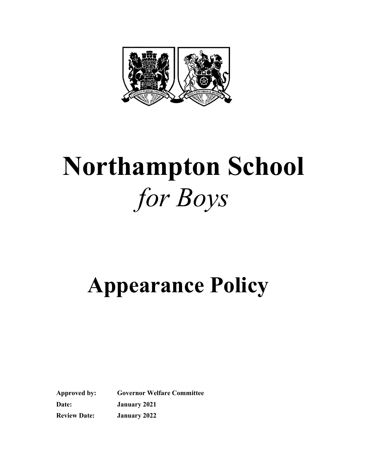

# Northampton School for Boys

## Appearance Policy

Approved by: Governor Welfare Committee Date: January 2021 Review Date: January 2022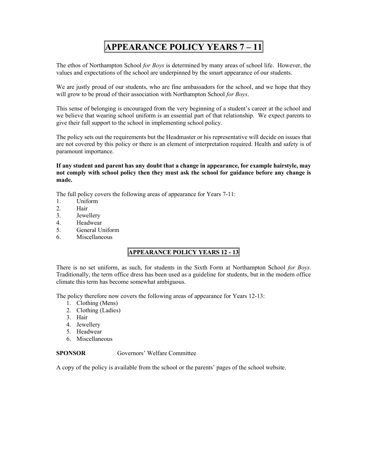### APPEARANCE POLICY YEARS 7 – 11

The ethos of Northampton School for Boys is determined by many areas of school life. However, the values and expectations of the school are underpinned by the smart appearance of our students.

We are justly proud of our students, who are fine ambassadors for the school, and we hope that they will grow to be proud of their association with Northampton School for Boys.

This sense of belonging is encouraged from the very beginning of a student's career at the school and we believe that wearing school uniform is an essential part of that relationship. We expect parents to give their full support to the school in implementing school policy.

The policy sets out the requirements but the Headmaster or his representative will decide on issues that are not covered by this policy or there is an element of interpretation required. Health and safety is of paramount importance.

If any student and parent has any doubt that a change in appearance, for example hairstyle, may not comply with school policy then they must ask the school for guidance before any change is made.

The full policy covers the following areas of appearance for Years 7-11:

- 1. Uniform
- 2. Hair
- 3. Jewellery
- 4. Headwear
- 5. General Uniform
- 6. Miscellaneous

#### APPEARANCE POLICY YEARS 12 - 13

There is no set uniform, as such, for students in the Sixth Form at Northampton School for Boys. Traditionally, the term office dress has been used as a guideline for students, but in the modern office climate this term has become somewhat ambiguous.

The policy therefore now covers the following areas of appearance for Years 12-13:

- 1. Clothing (Mens)
- 2. Clothing (Ladies)
- 3. Hair
- 4. Jewellery
- 5. Headwear
- 6. Miscellaneous

SPONSOR Governors' Welfare Committee

A copy of the policy is available from the school or the parents' pages of the school website.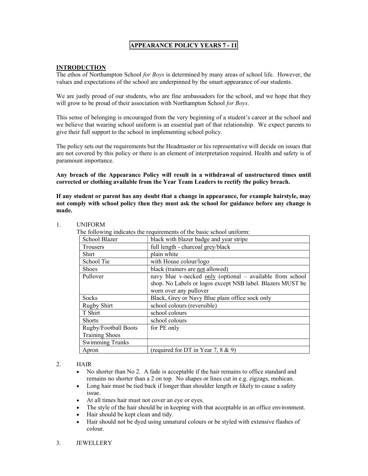#### APPEARANCE POLICY YEARS 7 - 11

#### INTRODUCTION

The ethos of Northampton School for Boys is determined by many areas of school life. However, the values and expectations of the school are underpinned by the smart appearance of our students.

We are justly proud of our students, who are fine ambassadors for the school, and we hope that they will grow to be proud of their association with Northampton School for Boys.

This sense of belonging is encouraged from the very beginning of a student's career at the school and we believe that wearing school uniform is an essential part of that relationship. We expect parents to give their full support to the school in implementing school policy.

The policy sets out the requirements but the Headmaster or his representative will decide on issues that are not covered by this policy or there is an element of interpretation required. Health and safety is of paramount importance.

Any breach of the Appearance Policy will result in a withdrawal of unstructured times until corrected or clothing available from the Year Team Leaders to rectify the policy breach.

If any student or parent has any doubt that a change in appearance, for example hairstyle, may not comply with school policy then they must ask the school for guidance before any change is made.

| The following indicates the requirements of the basic school uniform: |                                                                          |  |
|-----------------------------------------------------------------------|--------------------------------------------------------------------------|--|
| School Blazer                                                         | black with blazer badge and year stripe                                  |  |
| <b>Trousers</b>                                                       | full length - charcoal grey/black                                        |  |
| Shirt                                                                 | plain white                                                              |  |
| School Tie                                                            | with House colour/logo                                                   |  |
| <b>Shoes</b>                                                          | black (trainers are not allowed)                                         |  |
| Pullover                                                              | navy blue v-necked $\frac{only}{only}$ (optional – available from school |  |
|                                                                       | shop. No Labels or logos except NSB label. Blazers MUST be               |  |
|                                                                       | worn over any pullover                                                   |  |
| Socks                                                                 | Black, Grey or Navy Blue plain office sock only                          |  |
| Rugby Shirt                                                           | school colours (reversible)                                              |  |
| T Shirt                                                               | school colours                                                           |  |
| <b>Shorts</b>                                                         | school colours                                                           |  |
| Rugby/Football Boots                                                  | for PE only                                                              |  |
| <b>Training Shoes</b>                                                 |                                                                          |  |
| <b>Swimming Trunks</b>                                                |                                                                          |  |
| Apron                                                                 | (required for DT in Year 7, $8 \& 9$ )                                   |  |

#### 1. UNIFORM

#### 2. HAIR

- No shorter than No 2. A fade is acceptable if the hair remains to office standard and remains no shorter than a 2 on top. No shapes or lines cut in e.g. zigzags, mohican.
- Long hair must be tied back if longer than shoulder length or likely to cause a safety issue.
- At all times hair must not cover an eye or eyes.
- The style of the hair should be in keeping with that acceptable in an office environment.
- Hair should be kept clean and tidy.
- Hair should not be dyed using unnatural colours or be styled with extensive flashes of colour.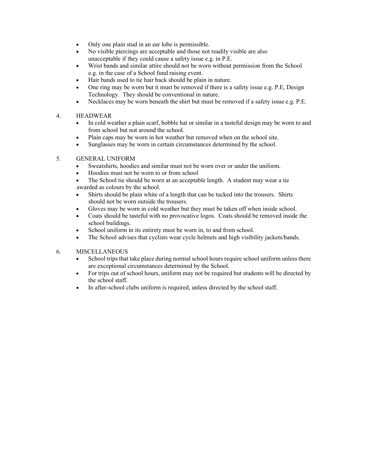- Only one plain stud in an ear lobe is permissible.
- No visible piercings are acceptable and those not readily visible are also unacceptable if they could cause a safety issue e.g. in P.E.
- Wrist bands and similar attire should not be worn without permission from the School e.g. in the case of a School fund raising event.
- Hair bands used to tie hair back should be plain in nature.
- One ring may be worn but it must be removed if there is a safety issue e.g. P.E, Design Technology. They should be conventional in nature.
- Necklaces may be worn beneath the shirt but must be removed if a safety issue e.g. P.E.

#### 4. HEADWEAR

- In cold weather a plain scarf, bobble hat or similar in a tasteful design may be worn to and from school but not around the school.
- Plain caps may be worn in hot weather but removed when on the school site.
- Sunglasses may be worn in certain circumstances determined by the school.

#### 5. GENERAL UNIFORM

- Sweatshirts, hoodies and similar must not be worn over or under the uniform.
- Hoodies must not be worn to or from school
- The School tie should be worn at an acceptable length. A student may wear a tie awarded as colours by the school.
- Shirts should be plain white of a length that can be tucked into the trousers. Shirts should not be worn outside the trousers.
- Gloves may be worn in cold weather but they must be taken off when inside school.
- Coats should be tasteful with no provocative logos. Coats should be removed inside the school buildings.
- School uniform in its entirety must be worn in, to and from school.
- The School advises that cyclists wear cycle helmets and high visibility jackets/bands.

#### 6. MISCELLANEOUS

- School trips that take place during normal school hours require school uniform unless there are exceptional circumstances determined by the School.
- For trips out of school hours, uniform may not be required but students will be directed by the school staff.
- In after-school clubs uniform is required, unless directed by the school staff.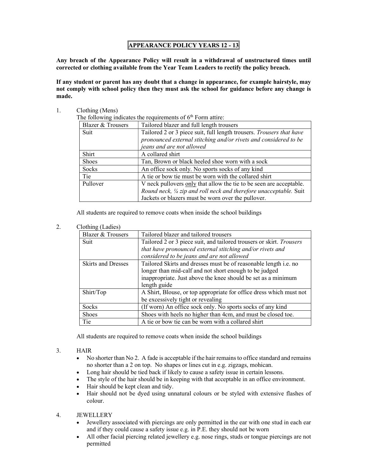#### APPEARANCE POLICY YEARS 12 - 13

Any breach of the Appearance Policy will result in a withdrawal of unstructured times until corrected or clothing available from the Year Team Leaders to rectify the policy breach.

If any student or parent has any doubt that a change in appearance, for example hairstyle, may not comply with school policy then they must ask the school for guidance before any change is made.

1. Clothing (Mens)

The following indicates the requirements of  $6<sup>th</sup>$  Form attire:

| <b>Blazer &amp; Trousers</b> | Tailored blazer and full length trousers                             |
|------------------------------|----------------------------------------------------------------------|
| Suit                         | Tailored 2 or 3 piece suit, full length trousers. Trousers that have |
|                              | pronounced external stitching and/or rivets and considered to be     |
|                              | jeans and are not allowed                                            |
| Shirt                        | A collared shirt                                                     |
| <b>Shoes</b>                 | Tan, Brown or black heeled shoe worn with a sock                     |
| Socks                        | An office sock only. No sports socks of any kind                     |
| Tie                          | A tie or bow tie must be worn with the collared shirt                |
| Pullover                     | V neck pullovers only that allow the tie to be seen are acceptable.  |
|                              | Round neck, 1/4 zip and roll neck and therefore unacceptable. Suit   |
|                              | Jackets or blazers must be worn over the pullover.                   |

All students are required to remove coats when inside the school buildings

2. Clothing (Ladies)

| <b>Blazer &amp; Trousers</b> | Tailored blazer and tailored trousers                                |
|------------------------------|----------------------------------------------------------------------|
| Suit                         | Tailored 2 or 3 piece suit, and tailored trousers or skirt. Trousers |
|                              | that have pronounced external stitching and/or rivets and            |
|                              | considered to be jeans and are not allowed                           |
| <b>Skirts and Dresses</b>    | Tailored Skirts and dresses must be of reasonable length i.e. no     |
|                              | longer than mid-calf and not short enough to be judged               |
|                              | inappropriate. Just above the knee should be set as a minimum        |
|                              | length guide                                                         |
| Shirt/Top                    | A Shirt, Blouse, or top appropriate for office dress which must not  |
|                              | be excessively tight or revealing                                    |
| <b>Socks</b>                 | (If worn) An office sock only. No sports socks of any kind           |
| <b>Shoes</b>                 | Shoes with heels no higher than 4cm, and must be closed toe.         |
| Tie                          | A tie or bow tie can be worn with a collared shirt                   |

All students are required to remove coats when inside the school buildings

- 3. HAIR
	- No shorter than No 2. A fade is acceptable if the hair remains to office standard and remains no shorter than a 2 on top. No shapes or lines cut in e.g. zigzags, mohican.
	- Long hair should be tied back if likely to cause a safety issue in certain lessons.
	- The style of the hair should be in keeping with that acceptable in an office environment.
	- Hair should be kept clean and tidy.
	- Hair should not be dyed using unnatural colours or be styled with extensive flashes of colour.

#### 4. JEWELLERY

- Jewellery associated with piercings are only permitted in the ear with one stud in each ear and if they could cause a safety issue e.g. in P.E. they should not be worn
- All other facial piercing related jewellery e.g. nose rings, studs or tongue piercings are not permitted